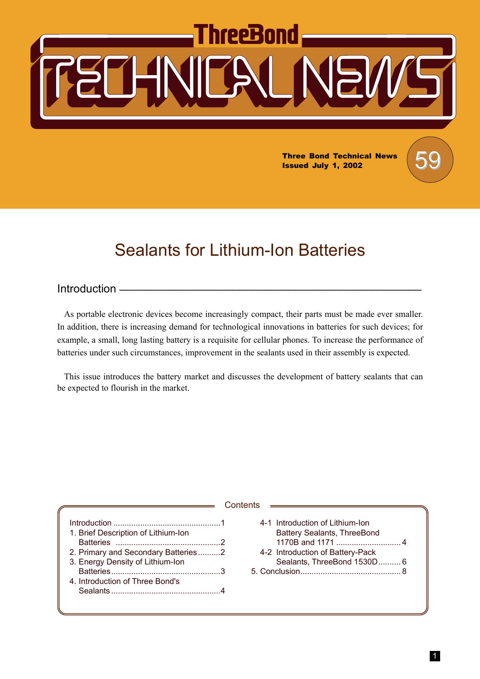# hreeBond

**Three Bond Technical News** Issued July 1, 2002

# Sealants for Lithium-Ion Batteries

# Introduction  $-$

As portable electronic devices become increasingly compact, their parts must be made ever smaller. In addition, there is increasing demand for technological innovations in batteries for such devices; for example, a small, long lasting battery is a requisite for cellular phones. To increase the performance of batteries under such circumstances, improvement in the sealants used in their assembly is expected.

This issue introduces the battery market and discusses the development of battery sealants that can be expected to flourish in the market.

|                                                                                                                                                   | Contents                                                                                                                                 |
|---------------------------------------------------------------------------------------------------------------------------------------------------|------------------------------------------------------------------------------------------------------------------------------------------|
| 1. Brief Description of Lithium-Ion<br>2. Primary and Secondary Batteries2<br>3. Energy Density of Lithium-Ion<br>4. Introduction of Three Bond's | 4-1 Introduction of Lithium-Ion<br><b>Battery Sealants, ThreeBond</b><br>4-2 Introduction of Battery-Pack<br>Sealants, ThreeBond 1530D 6 |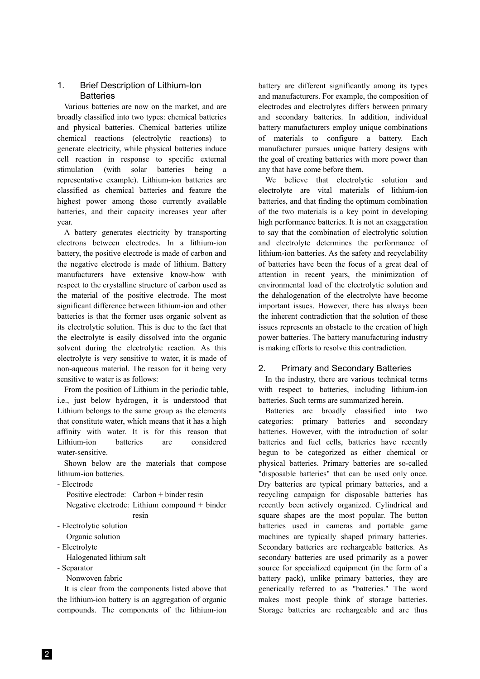# 1. Brief Description of Lithium-Ion **Batteries**

Various batteries are now on the market, and are broadly classified into two types: chemical batteries and physical batteries. Chemical batteries utilize chemical reactions (electrolytic reactions) to generate electricity, while physical batteries induce cell reaction in response to specific external stimulation (with solar batteries being a representative example). Lithium-ion batteries are classified as chemical batteries and feature the highest power among those currently available batteries, and their capacity increases year after year.

A battery generates electricity by transporting electrons between electrodes. In a lithium-ion battery, the positive electrode is made of carbon and the negative electrode is made of lithium. Battery manufacturers have extensive know-how with respect to the crystalline structure of carbon used as the material of the positive electrode. The most significant difference between lithium-ion and other batteries is that the former uses organic solvent as its electrolytic solution. This is due to the fact that the electrolyte is easily dissolved into the organic solvent during the electrolytic reaction. As this electrolyte is very sensitive to water, it is made of non-aqueous material. The reason for it being very sensitive to water is as follows:

From the position of Lithium in the periodic table, i.e., just below hydrogen, it is understood that Lithium belongs to the same group as the elements that constitute water, which means that it has a high affinity with water. It is for this reason that Lithium-ion batteries are considered water-sensitive.

Shown below are the materials that compose lithium-ion batteries.

- Electrode

Positive electrode: Carbon + binder resin Negative electrode: Lithium compound + binder resin

- Electrolytic solution
- Organic solution
- Electrolyte

Halogenated lithium salt

- Separator

Nonwoven fabric

It is clear from the components listed above that the lithium-ion battery is an aggregation of organic compounds. The components of the lithium-ion

battery are different significantly among its types and manufacturers. For example, the composition of electrodes and electrolytes differs between primary and secondary batteries. In addition, individual battery manufacturers employ unique combinations of materials to configure a battery. Each manufacturer pursues unique battery designs with the goal of creating batteries with more power than any that have come before them.

We believe that electrolytic solution and electrolyte are vital materials of lithium-ion batteries, and that finding the optimum combination of the two materials is a key point in developing high performance batteries. It is not an exaggeration to say that the combination of electrolytic solution and electrolyte determines the performance of lithium-ion batteries. As the safety and recyclability of batteries have been the focus of a great deal of attention in recent years, the minimization of environmental load of the electrolytic solution and the dehalogenation of the electrolyte have become important issues. However, there has always been the inherent contradiction that the solution of these issues represents an obstacle to the creation of high power batteries. The battery manufacturing industry is making efforts to resolve this contradiction.

# 2. Primary and Secondary Batteries

In the industry, there are various technical terms with respect to batteries, including lithium-ion batteries. Such terms are summarized herein.

Batteries are broadly classified into two categories: primary batteries and secondary batteries. However, with the introduction of solar batteries and fuel cells, batteries have recently begun to be categorized as either chemical or physical batteries. Primary batteries are so-called "disposable batteries" that can be used only once. Dry batteries are typical primary batteries, and a recycling campaign for disposable batteries has recently been actively organized. Cylindrical and square shapes are the most popular. The button batteries used in cameras and portable game machines are typically shaped primary batteries. Secondary batteries are rechargeable batteries. As secondary batteries are used primarily as a power source for specialized equipment (in the form of a battery pack), unlike primary batteries, they are generically referred to as "batteries." The word makes most people think of storage batteries. Storage batteries are rechargeable and are thus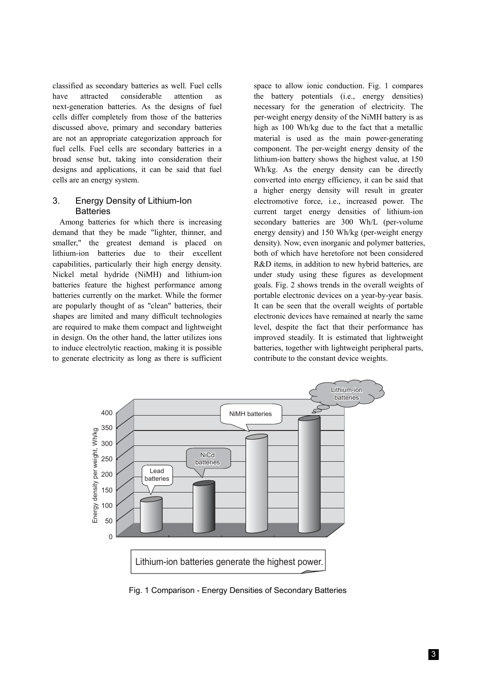classified as secondary batteries as well. Fuel cells have attracted considerable attention as next-generation batteries. As the designs of fuel cells differ completely from those of the batteries discussed above, primary and secondary batteries are not an appropriate categorization approach for fuel cells. Fuel cells are secondary batteries in a broad sense but, taking into consideration their designs and applications, it can be said that fuel cells are an energy system.

#### 3. Energy Density of Lithium-Ion **Batteries**

Among batteries for which there is increasing demand that they be made "lighter, thinner, and smaller," the greatest demand is placed on lithium-ion batteries due to their excellent capabilities, particularly their high energy density. Nickel metal hydride (NiMH) and lithium-ion batteries feature the highest performance among batteries currently on the market. While the former are popularly thought of as "clean" batteries, their shapes are limited and many difficult technologies are required to make them compact and lightweight in design. On the other hand, the latter utilizes ions to induce electrolytic reaction, making it is possible to generate electricity as long as there is sufficient space to allow ionic conduction. Fig. 1 compares the battery potentials (i.e., energy densities) necessary for the generation of electricity. The per-weight energy density of the NiMH battery is as high as 100 Wh/kg due to the fact that a metallic material is used as the main power-generating component. The per-weight energy density of the lithium-ion battery shows the highest value, at 150 Wh/kg. As the energy density can be directly converted into energy efficiency, it can be said that a higher energy density will result in greater electromotive force, i.e., increased power. The current target energy densities of lithium-ion secondary batteries are 300 Wh/L (per-volume energy density) and 150 Wh/kg (per-weight energy density). Now, even inorganic and polymer batteries, both of which have heretofore not been considered R&D items, in addition to new hybrid batteries, are under study using these figures as development goals. Fig. 2 shows trends in the overall weights of portable electronic devices on a year-by-year basis. It can be seen that the overall weights of portable electronic devices have remained at nearly the same level, despite the fact that their performance has improved steadily. It is estimated that lightweight batteries, together with lightweight peripheral parts, contribute to the constant device weights.



Fig. 1 Comparison - Energy Densities of Secondary Batteries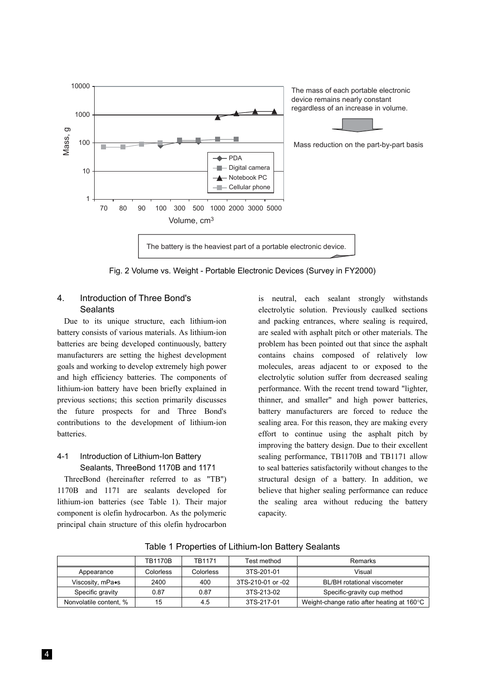

Fig. 2 Volume vs. Weight - Portable Electronic Devices (Survey in FY2000)

# 4. Introduction of Three Bond's **Sealants**

Due to its unique structure, each lithium-ion battery consists of various materials. As lithium-ion batteries are being developed continuously, battery manufacturers are setting the highest development goals and working to develop extremely high power and high efficiency batteries. The components of lithium-ion battery have been briefly explained in previous sections; this section primarily discusses the future prospects for and Three Bond's contributions to the development of lithium-ion batteries.

# 4-1 Introduction of Lithium-Ion Battery Sealants, ThreeBond 1170B and 1171

ThreeBond (hereinafter referred to as "TB") 1170B and 1171 are sealants developed for lithium-ion batteries (see Table 1). Their major component is olefin hydrocarbon. As the polymeric principal chain structure of this olefin hydrocarbon

is neutral, each sealant strongly withstands electrolytic solution. Previously caulked sections and packing entrances, where sealing is required, are sealed with asphalt pitch or other materials. The problem has been pointed out that since the asphalt contains chains composed of relatively low molecules, areas adjacent to or exposed to the electrolytic solution suffer from decreased sealing performance. With the recent trend toward "lighter, thinner, and smaller" and high power batteries, battery manufacturers are forced to reduce the sealing area. For this reason, they are making every effort to continue using the asphalt pitch by improving the battery design. Due to their excellent sealing performance, TB1170B and TB1171 allow to seal batteries satisfactorily without changes to the structural design of a battery. In addition, we believe that higher sealing performance can reduce the sealing area without reducing the battery capacity.

|                        | <b>TB1170B</b>   | TR <sub>1171</sub> | Test method       | <b>Remarks</b>                              |  |
|------------------------|------------------|--------------------|-------------------|---------------------------------------------|--|
| Appearance             | <b>Colorless</b> | Colorless          | 3TS-201-01        | Visual                                      |  |
| Viscosity, mPa•s       | 2400             | 400                | 3TS-210-01 or -02 | BL/BH rotational viscometer                 |  |
| Specific gravity       | 0.87             | 0.87               | 3TS-213-02        | Specific-gravity cup method                 |  |
| Nonvolatile content, % | 15               | 4.5                | 3TS-217-01        | Weight-change ratio after heating at 160 °C |  |

Table 1 Properties of Lithium-Ion Battery Sealants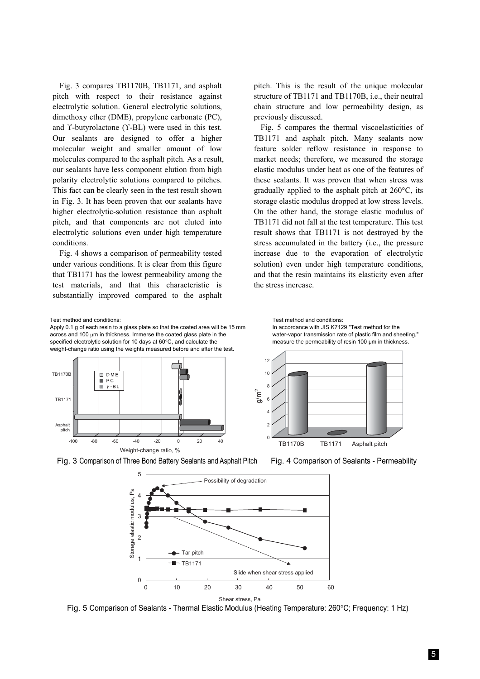Fig. 3 compares TB1170B, TB1171, and asphalt pitch with respect to their resistance against electrolytic solution. General electrolytic solutions, dimethoxy ether (DME), propylene carbonate (PC), and ϒ-butyrolactone (ϒ-BL) were used in this test. Our sealants are designed to offer a higher molecular weight and smaller amount of low molecules compared to the asphalt pitch. As a result, our sealants have less component elution from high polarity electrolytic solutions compared to pitches. This fact can be clearly seen in the test result shown in Fig. 3. It has been proven that our sealants have higher electrolytic-solution resistance than asphalt pitch, and that components are not eluted into electrolytic solutions even under high temperature conditions.

Fig. 4 shows a comparison of permeability tested under various conditions. It is clear from this figure that TB1171 has the lowest permeability among the test materials, and that this characteristic is substantially improved compared to the asphalt pitch. This is the result of the unique molecular structure of TB1171 and TB1170B, i.e., their neutral chain structure and low permeability design, as previously discussed.

Fig. 5 compares the thermal viscoelasticities of TB1171 and asphalt pitch. Many sealants now feature solder reflow resistance in response to market needs; therefore, we measured the storage elastic modulus under heat as one of the features of these sealants. It was proven that when stress was gradually applied to the asphalt pitch at 260°C, its storage elastic modulus dropped at low stress levels. On the other hand, the storage elastic modulus of TB1171 did not fall at the test temperature. This test result shows that TB1171 is not destroyed by the stress accumulated in the battery (i.e., the pressure increase due to the evaporation of electrolytic solution) even under high temperature conditions, and that the resin maintains its elasticity even after the stress increase.



Apply 0.1 g of each resin to a glass plate so that the coated area will be 15 mm across and 100 µm in thickness. Immerse the coated glass plate in the specified electrolytic solution for 10 days at 60°C, and calculate the weight-change ratio using the weights measured before and after the test.



Test method and conditions: In accordance with JIS K7129 "Test method for the water-vapor transmission rate of plastic film and sheeting," measure the permeability of resin 100 µm in thickness.



Fig. 3 Comparison of Three Bond Battery Sealants and Asphalt Pitch Fig. 4 Comparison of Sealants - Permeability



Fig. 5 Comparison of Sealants - Thermal Elastic Modulus (Heating Temperature: 260°C; Frequency: 1 Hz)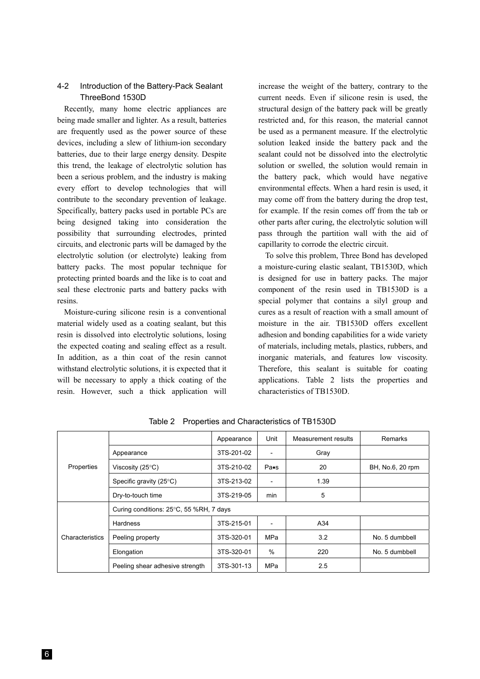### 4-2 Introduction of the Battery-Pack Sealant ThreeBond 1530D

Recently, many home electric appliances are being made smaller and lighter. As a result, batteries are frequently used as the power source of these devices, including a slew of lithium-ion secondary batteries, due to their large energy density. Despite this trend, the leakage of electrolytic solution has been a serious problem, and the industry is making every effort to develop technologies that will contribute to the secondary prevention of leakage. Specifically, battery packs used in portable PCs are being designed taking into consideration the possibility that surrounding electrodes, printed circuits, and electronic parts will be damaged by the electrolytic solution (or electrolyte) leaking from battery packs. The most popular technique for protecting printed boards and the like is to coat and seal these electronic parts and battery packs with resins.

Moisture-curing silicone resin is a conventional material widely used as a coating sealant, but this resin is dissolved into electrolytic solutions, losing the expected coating and sealing effect as a result. In addition, as a thin coat of the resin cannot withstand electrolytic solutions, it is expected that it will be necessary to apply a thick coating of the resin. However, such a thick application will

increase the weight of the battery, contrary to the current needs. Even if silicone resin is used, the structural design of the battery pack will be greatly restricted and, for this reason, the material cannot be used as a permanent measure. If the electrolytic solution leaked inside the battery pack and the sealant could not be dissolved into the electrolytic solution or swelled, the solution would remain in the battery pack, which would have negative environmental effects. When a hard resin is used, it may come off from the battery during the drop test, for example. If the resin comes off from the tab or other parts after curing, the electrolytic solution will pass through the partition wall with the aid of capillarity to corrode the electric circuit.

To solve this problem, Three Bond has developed a moisture-curing elastic sealant, TB1530D, which is designed for use in battery packs. The major component of the resin used in TB1530D is a special polymer that contains a silyl group and cures as a result of reaction with a small amount of moisture in the air. TB1530D offers excellent adhesion and bonding capabilities for a wide variety of materials, including metals, plastics, rubbers, and inorganic materials, and features low viscosity. Therefore, this sealant is suitable for coating applications. Table 2 lists the properties and characteristics of TB1530D.

| Properties      |                                         | Appearance | Unit                           | Measurement results | Remarks          |  |  |
|-----------------|-----------------------------------------|------------|--------------------------------|---------------------|------------------|--|--|
|                 | Appearance                              | 3TS-201-02 |                                | Gray                |                  |  |  |
|                 | Viscosity (25 $\degree$ C)              | 3TS-210-02 | $P\mathbf{a}\bullet\mathbf{s}$ | 20                  | BH, No.6, 20 rpm |  |  |
|                 | Specific gravity (25°C)                 | 3TS-213-02 |                                | 1.39                |                  |  |  |
|                 | Dry-to-touch time                       | 3TS-219-05 | min                            | 5                   |                  |  |  |
|                 | Curing conditions: 25°C, 55 %RH, 7 days |            |                                |                     |                  |  |  |
| Characteristics | Hardness                                | 3TS-215-01 |                                | A34                 |                  |  |  |
|                 | Peeling property                        | 3TS-320-01 | <b>MPa</b>                     | 3.2                 | No. 5 dumbbell   |  |  |
|                 | Elongation                              | 3TS-320-01 | %                              | 220                 | No. 5 dumbbell   |  |  |
|                 | Peeling shear adhesive strength         | 3TS-301-13 | MPa                            | 2.5                 |                  |  |  |

Table 2 Properties and Characteristics of TB1530D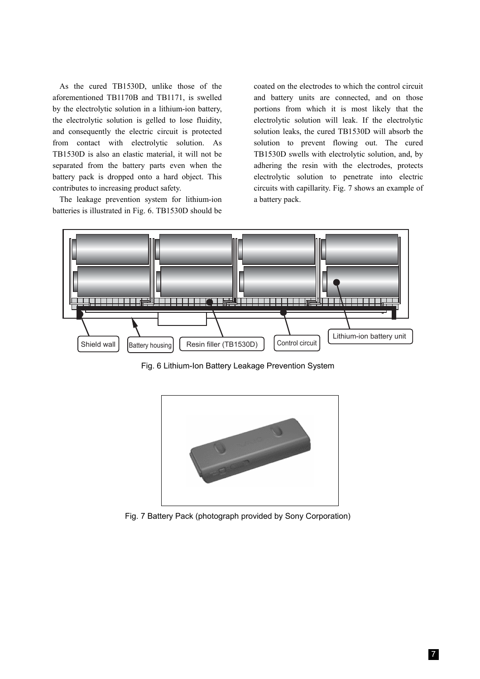As the cured TB1530D, unlike those of the aforementioned TB1170B and TB1171, is swelled by the electrolytic solution in a lithium-ion battery, the electrolytic solution is gelled to lose fluidity, and consequently the electric circuit is protected from contact with electrolytic solution. As TB1530D is also an elastic material, it will not be separated from the battery parts even when the battery pack is dropped onto a hard object. This contributes to increasing product safety.

The leakage prevention system for lithium-ion batteries is illustrated in Fig. 6. TB1530D should be

coated on the electrodes to which the control circuit and battery units are connected, and on those portions from which it is most likely that the electrolytic solution will leak. If the electrolytic solution leaks, the cured TB1530D will absorb the solution to prevent flowing out. The cured TB1530D swells with electrolytic solution, and, by adhering the resin with the electrodes, protects electrolytic solution to penetrate into electric circuits with capillarity. Fig. 7 shows an example of a battery pack.



Fig. 6 Lithium-Ion Battery Leakage Prevention System



Fig. 7 Battery Pack (photograph provided by Sony Corporation)